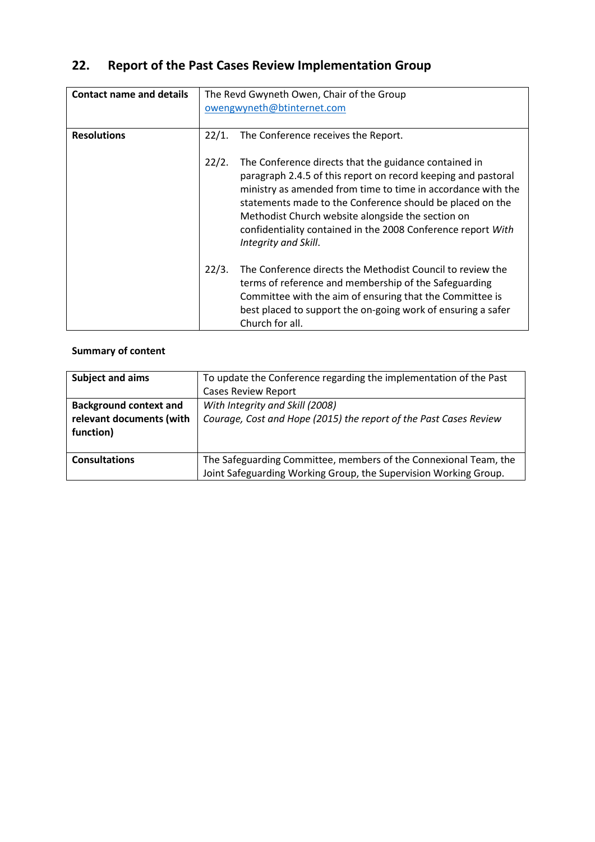# **22. Report of the Past Cases Review Implementation Group**

| <b>Contact name and details</b> | The Revd Gwyneth Owen, Chair of the Group<br>owengwyneth@btinternet.com |                                                                                                                                                                                                                                                                                                                                                                                                  |
|---------------------------------|-------------------------------------------------------------------------|--------------------------------------------------------------------------------------------------------------------------------------------------------------------------------------------------------------------------------------------------------------------------------------------------------------------------------------------------------------------------------------------------|
| <b>Resolutions</b>              | 22/1.                                                                   | The Conference receives the Report.                                                                                                                                                                                                                                                                                                                                                              |
|                                 | 22/2.                                                                   | The Conference directs that the guidance contained in<br>paragraph 2.4.5 of this report on record keeping and pastoral<br>ministry as amended from time to time in accordance with the<br>statements made to the Conference should be placed on the<br>Methodist Church website alongside the section on<br>confidentiality contained in the 2008 Conference report With<br>Integrity and Skill. |
|                                 | 22/3.                                                                   | The Conference directs the Methodist Council to review the<br>terms of reference and membership of the Safeguarding<br>Committee with the aim of ensuring that the Committee is<br>best placed to support the on-going work of ensuring a safer<br>Church for all.                                                                                                                               |

# **Summary of content**

| <b>Subject and aims</b>       | To update the Conference regarding the implementation of the Past |  |  |
|-------------------------------|-------------------------------------------------------------------|--|--|
|                               | <b>Cases Review Report</b>                                        |  |  |
| <b>Background context and</b> | With Integrity and Skill (2008)                                   |  |  |
| relevant documents (with      | Courage, Cost and Hope (2015) the report of the Past Cases Review |  |  |
| function)                     |                                                                   |  |  |
|                               |                                                                   |  |  |
| <b>Consultations</b>          | The Safeguarding Committee, members of the Connexional Team, the  |  |  |
|                               | Joint Safeguarding Working Group, the Supervision Working Group.  |  |  |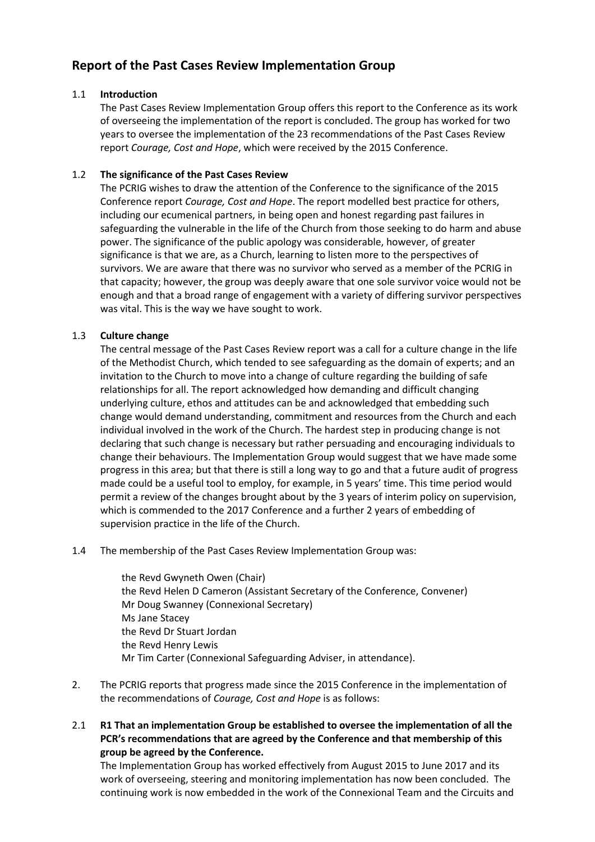# **Report of the Past Cases Review Implementation Group**

## 1.1 **Introduction**

The Past Cases Review Implementation Group offers this report to the Conference as its work of overseeing the implementation of the report is concluded. The group has worked for two years to oversee the implementation of the 23 recommendations of the Past Cases Review report *Courage, Cost and Hope*, which were received by the 2015 Conference.

### 1.2 **The significance of the Past Cases Review**

The PCRIG wishes to draw the attention of the Conference to the significance of the 2015 Conference report *Courage, Cost and Hope*. The report modelled best practice for others, including our ecumenical partners, in being open and honest regarding past failures in safeguarding the vulnerable in the life of the Church from those seeking to do harm and abuse power. The significance of the public apology was considerable, however, of greater significance is that we are, as a Church, learning to listen more to the perspectives of survivors. We are aware that there was no survivor who served as a member of the PCRIG in that capacity; however, the group was deeply aware that one sole survivor voice would not be enough and that a broad range of engagement with a variety of differing survivor perspectives was vital. This is the way we have sought to work.

### 1.3 **Culture change**

The central message of the Past Cases Review report was a call for a culture change in the life of the Methodist Church, which tended to see safeguarding as the domain of experts; and an invitation to the Church to move into a change of culture regarding the building of safe relationships for all. The report acknowledged how demanding and difficult changing underlying culture, ethos and attitudes can be and acknowledged that embedding such change would demand understanding, commitment and resources from the Church and each individual involved in the work of the Church. The hardest step in producing change is not declaring that such change is necessary but rather persuading and encouraging individuals to change their behaviours. The Implementation Group would suggest that we have made some progress in this area; but that there is still a long way to go and that a future audit of progress made could be a useful tool to employ, for example, in 5 years' time. This time period would permit a review of the changes brought about by the 3 years of interim policy on supervision, which is commended to the 2017 Conference and a further 2 years of embedding of supervision practice in the life of the Church.

1.4 The membership of the Past Cases Review Implementation Group was:

the Revd Gwyneth Owen (Chair) the Revd Helen D Cameron (Assistant Secretary of the Conference, Convener) Mr Doug Swanney (Connexional Secretary) Ms Jane Stacey the Revd Dr Stuart Jordan the Revd Henry Lewis Mr Tim Carter (Connexional Safeguarding Adviser, in attendance).

- 2. The PCRIG reports that progress made since the 2015 Conference in the implementation of the recommendations of *Courage, Cost and Hope* is as follows:
- 2.1 **R1 That an implementation Group be established to oversee the implementation of all the PCR's recommendations that are agreed by the Conference and that membership of this group be agreed by the Conference.**

The Implementation Group has worked effectively from August 2015 to June 2017 and its work of overseeing, steering and monitoring implementation has now been concluded. The continuing work is now embedded in the work of the Connexional Team and the Circuits and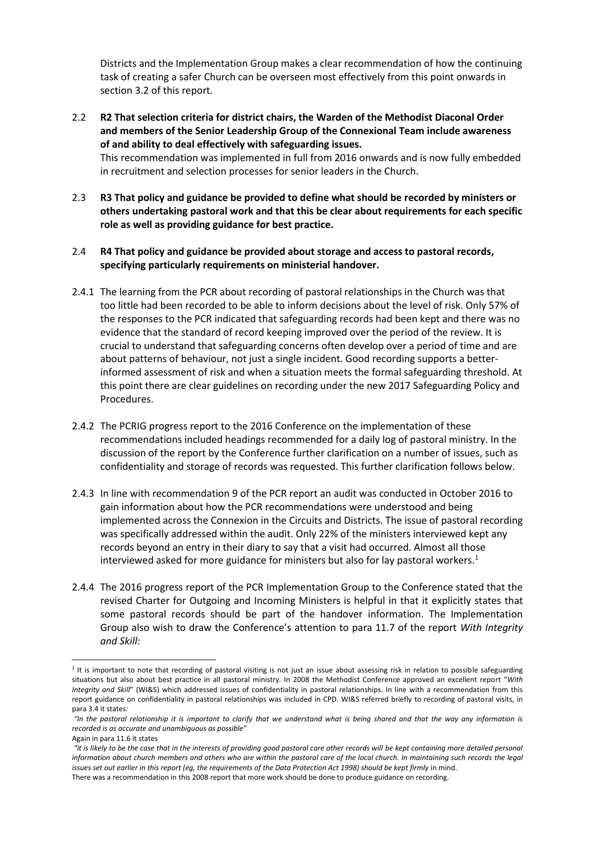Districts and the Implementation Group makes a clear recommendation of how the continuing task of creating a safer Church can be overseen most effectively from this point onwards in section 3.2 of this report.

2.2 **R2 That selection criteria for district chairs, the Warden of the Methodist Diaconal Order and members of the Senior Leadership Group of the Connexional Team include awareness of and ability to deal effectively with safeguarding issues.**

This recommendation was implemented in full from 2016 onwards and is now fully embedded in recruitment and selection processes for senior leaders in the Church.

- 2.3 **R3 That policy and guidance be provided to define what should be recorded by ministers or others undertaking pastoral work and that this be clear about requirements for each specific role as well as providing guidance for best practice.**
- 2.4 **R4 That policy and guidance be provided about storage and access to pastoral records, specifying particularly requirements on ministerial handover.**
- 2.4.1 The learning from the PCR about recording of pastoral relationships in the Church was that too little had been recorded to be able to inform decisions about the level of risk. Only 57% of the responses to the PCR indicated that safeguarding records had been kept and there was no evidence that the standard of record keeping improved over the period of the review. It is crucial to understand that safeguarding concerns often develop over a period of time and are about patterns of behaviour, not just a single incident. Good recording supports a betterinformed assessment of risk and when a situation meets the formal safeguarding threshold. At this point there are clear guidelines on recording under the new 2017 Safeguarding Policy and Procedures.
- 2.4.2 The PCRIG progress report to the 2016 Conference on the implementation of these recommendations included headings recommended for a daily log of pastoral ministry. In the discussion of the report by the Conference further clarification on a number of issues, such as confidentiality and storage of records was requested. This further clarification follows below.
- 2.4.3 In line with recommendation 9 of the PCR report an audit was conducted in October 2016 to gain information about how the PCR recommendations were understood and being implemented across the Connexion in the Circuits and Districts. The issue of pastoral recording was specifically addressed within the audit. Only 22% of the ministers interviewed kept any records beyond an entry in their diary to say that a visit had occurred. Almost all those interviewed asked for more guidance for ministers but also for lay pastoral workers. $1$
- 2.4.4 The 2016 progress report of the PCR Implementation Group to the Conference stated that the revised Charter for Outgoing and Incoming Ministers is helpful in that it explicitly states that some pastoral records should be part of the handover information. The Implementation Group also wish to draw the Conference's attention to para 11.7 of the report *With Integrity and Skill*:

**.** 

<sup>&</sup>lt;sup>1</sup> It is important to note that recording of pastoral visiting is not just an issue about assessing risk in relation to possible safeguarding situations but also about best practice in all pastoral ministry. In 2008 the Methodist Conference approved an excellent report "*With Integrity and Skill*" (WI&S) which addressed issues of confidentiality in pastoral relationships. In line with a recommendation from this report guidance on confidentiality in pastoral relationships was included in CPD. WI&S referred briefly to recording of pastoral visits, in para 3.4 it states*:* 

*<sup>&</sup>quot;In the pastoral relationship it is important to clarify that we understand what is being shared and that the way any information is recorded is as accurate and unambiguous as possible"* 

Again in para 11.6 it states

*<sup>&</sup>quot;it is likely to be the case that in the interests of providing good pastoral care other records will be kept containing more detailed personal information about church members and others who are within the pastoral care of the local church. In maintaining such records the legal issues set out earlier in this report (eg, the requirements of the Data Protection Act 1998) should be kept firmly* in mind.

There was a recommendation in this 2008 report that more work should be done to produce guidance on recording.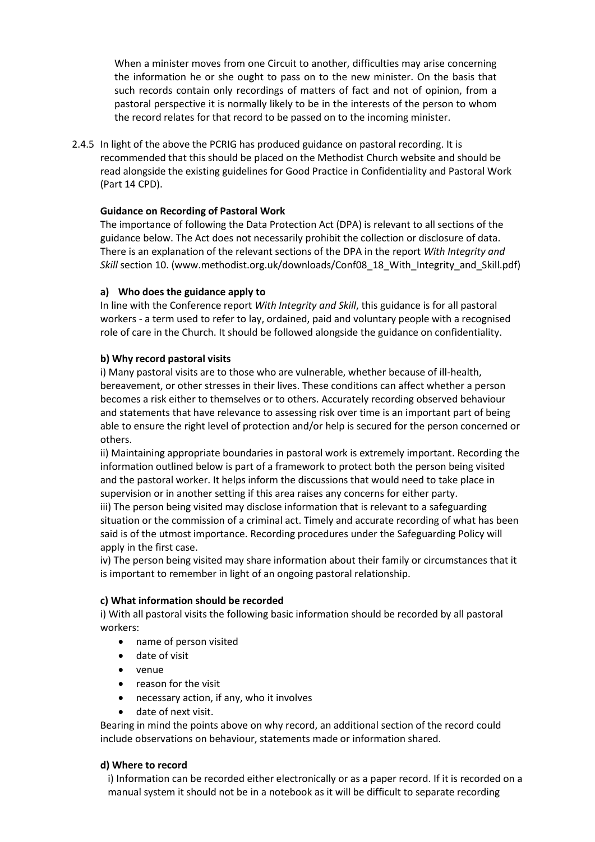When a minister moves from one Circuit to another, difficulties may arise concerning the information he or she ought to pass on to the new minister. On the basis that such records contain only recordings of matters of fact and not of opinion, from a pastoral perspective it is normally likely to be in the interests of the person to whom the record relates for that record to be passed on to the incoming minister.

2.4.5 In light of the above the PCRIG has produced guidance on pastoral recording. It is recommended that this should be placed on the Methodist Church website and should be read alongside the existing guidelines for Good Practice in Confidentiality and Pastoral Work (Part 14 CPD).

# **Guidance on Recording of Pastoral Work**

The importance of following the Data Protection Act (DPA) is relevant to all sections of the guidance below. The Act does not necessarily prohibit the collection or disclosure of data. There is an explanation of the relevant sections of the DPA in the report *With Integrity and Skill* section 10. (www.methodist.org.uk/downloads/Conf08\_18\_With\_Integrity\_and\_Skill.pdf)

### **a) Who does the guidance apply to**

In line with the Conference report *With Integrity and Skill*, this guidance is for all pastoral workers - a term used to refer to lay, ordained, paid and voluntary people with a recognised role of care in the Church. It should be followed alongside the guidance on confidentiality.

### **b) Why record pastoral visits**

i) Many pastoral visits are to those who are vulnerable, whether because of ill-health, bereavement, or other stresses in their lives. These conditions can affect whether a person becomes a risk either to themselves or to others. Accurately recording observed behaviour and statements that have relevance to assessing risk over time is an important part of being able to ensure the right level of protection and/or help is secured for the person concerned or others.

ii) Maintaining appropriate boundaries in pastoral work is extremely important. Recording the information outlined below is part of a framework to protect both the person being visited and the pastoral worker. It helps inform the discussions that would need to take place in supervision or in another setting if this area raises any concerns for either party.

iii) The person being visited may disclose information that is relevant to a safeguarding situation or the commission of a criminal act. Timely and accurate recording of what has been said is of the utmost importance. Recording procedures under the Safeguarding Policy will apply in the first case.

iv) The person being visited may share information about their family or circumstances that it is important to remember in light of an ongoing pastoral relationship.

#### **c) What information should be recorded**

i) With all pastoral visits the following basic information should be recorded by all pastoral workers:

- name of person visited
- date of visit
- venue
- reason for the visit
- necessary action, if any, who it involves
- date of next visit.

Bearing in mind the points above on why record, an additional section of the record could include observations on behaviour, statements made or information shared.

#### **d) Where to record**

i) Information can be recorded either electronically or as a paper record. If it is recorded on a manual system it should not be in a notebook as it will be difficult to separate recording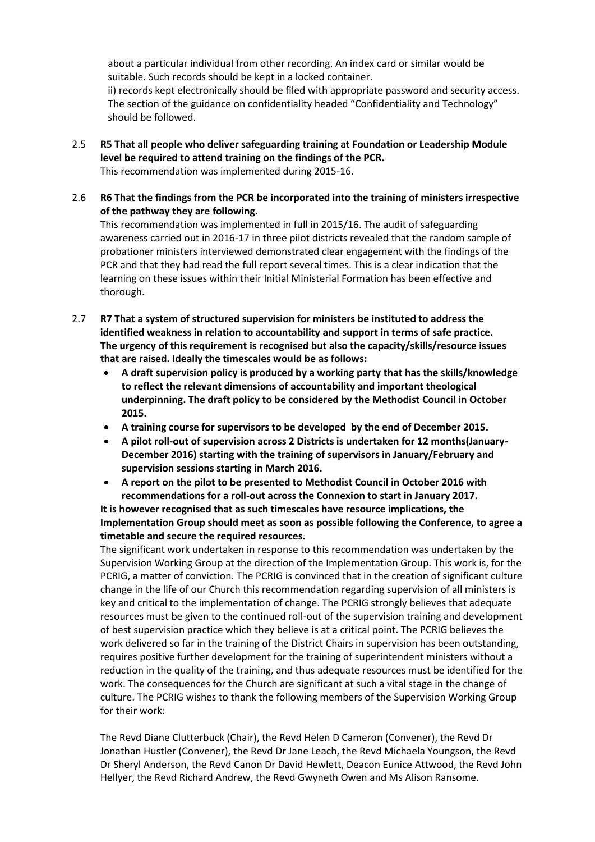about a particular individual from other recording. An index card or similar would be suitable. Such records should be kept in a locked container. ii) records kept electronically should be filed with appropriate password and security access. The section of the guidance on confidentiality headed "Confidentiality and Technology" should be followed.

- 2.5 **R5 That all people who deliver safeguarding training at Foundation or Leadership Module level be required to attend training on the findings of the PCR.** This recommendation was implemented during 2015-16.
- 2.6 **R6 That the findings from the PCR be incorporated into the training of ministers irrespective of the pathway they are following.**

This recommendation was implemented in full in 2015/16. The audit of safeguarding awareness carried out in 2016-17 in three pilot districts revealed that the random sample of probationer ministers interviewed demonstrated clear engagement with the findings of the PCR and that they had read the full report several times. This is a clear indication that the learning on these issues within their Initial Ministerial Formation has been effective and thorough.

- 2.7 **R7 That a system of structured supervision for ministers be instituted to address the identified weakness in relation to accountability and support in terms of safe practice. The urgency of this requirement is recognised but also the capacity/skills/resource issues that are raised. Ideally the timescales would be as follows:**
	- **A draft supervision policy is produced by a working party that has the skills/knowledge to reflect the relevant dimensions of accountability and important theological underpinning. The draft policy to be considered by the Methodist Council in October 2015.**
	- **A training course for supervisors to be developed by the end of December 2015.**
	- **A pilot roll-out of supervision across 2 Districts is undertaken for 12 months(January-December 2016) starting with the training of supervisors in January/February and supervision sessions starting in March 2016.**
	- **A report on the pilot to be presented to Methodist Council in October 2016 with recommendations for a roll-out across the Connexion to start in January 2017.**

# **It is however recognised that as such timescales have resource implications, the Implementation Group should meet as soon as possible following the Conference, to agree a timetable and secure the required resources.**

The significant work undertaken in response to this recommendation was undertaken by the Supervision Working Group at the direction of the Implementation Group. This work is, for the PCRIG, a matter of conviction. The PCRIG is convinced that in the creation of significant culture change in the life of our Church this recommendation regarding supervision of all ministers is key and critical to the implementation of change. The PCRIG strongly believes that adequate resources must be given to the continued roll-out of the supervision training and development of best supervision practice which they believe is at a critical point. The PCRIG believes the work delivered so far in the training of the District Chairs in supervision has been outstanding, requires positive further development for the training of superintendent ministers without a reduction in the quality of the training, and thus adequate resources must be identified for the work. The consequences for the Church are significant at such a vital stage in the change of culture. The PCRIG wishes to thank the following members of the Supervision Working Group for their work:

The Revd Diane Clutterbuck (Chair), the Revd Helen D Cameron (Convener), the Revd Dr Jonathan Hustler (Convener), the Revd Dr Jane Leach, the Revd Michaela Youngson, the Revd Dr Sheryl Anderson, the Revd Canon Dr David Hewlett, Deacon Eunice Attwood, the Revd John Hellyer, the Revd Richard Andrew, the Revd Gwyneth Owen and Ms Alison Ransome.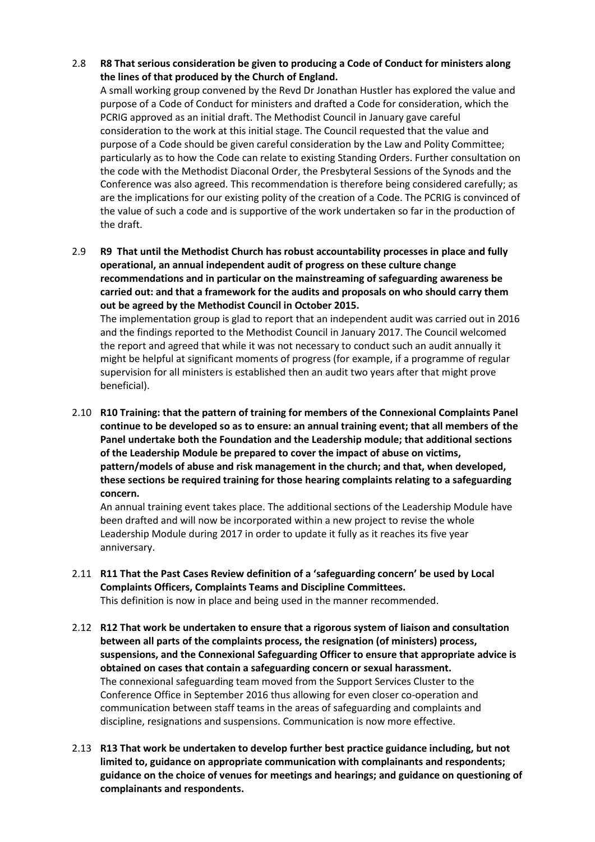2.8 **R8 That serious consideration be given to producing a Code of Conduct for ministers along the lines of that produced by the Church of England.**

A small working group convened by the Revd Dr Jonathan Hustler has explored the value and purpose of a Code of Conduct for ministers and drafted a Code for consideration, which the PCRIG approved as an initial draft. The Methodist Council in January gave careful consideration to the work at this initial stage. The Council requested that the value and purpose of a Code should be given careful consideration by the Law and Polity Committee; particularly as to how the Code can relate to existing Standing Orders. Further consultation on the code with the Methodist Diaconal Order, the Presbyteral Sessions of the Synods and the Conference was also agreed. This recommendation is therefore being considered carefully; as are the implications for our existing polity of the creation of a Code. The PCRIG is convinced of the value of such a code and is supportive of the work undertaken so far in the production of the draft.

2.9 **R9 That until the Methodist Church has robust accountability processes in place and fully operational, an annual independent audit of progress on these culture change recommendations and in particular on the mainstreaming of safeguarding awareness be carried out: and that a framework for the audits and proposals on who should carry them out be agreed by the Methodist Council in October 2015.**

The implementation group is glad to report that an independent audit was carried out in 2016 and the findings reported to the Methodist Council in January 2017. The Council welcomed the report and agreed that while it was not necessary to conduct such an audit annually it might be helpful at significant moments of progress (for example, if a programme of regular supervision for all ministers is established then an audit two years after that might prove beneficial).

2.10 **R10 Training: that the pattern of training for members of the Connexional Complaints Panel continue to be developed so as to ensure: an annual training event; that all members of the Panel undertake both the Foundation and the Leadership module; that additional sections of the Leadership Module be prepared to cover the impact of abuse on victims, pattern/models of abuse and risk management in the church; and that, when developed, these sections be required training for those hearing complaints relating to a safeguarding concern.**

An annual training event takes place. The additional sections of the Leadership Module have been drafted and will now be incorporated within a new project to revise the whole Leadership Module during 2017 in order to update it fully as it reaches its five year anniversary.

- 2.11 **R11 That the Past Cases Review definition of a 'safeguarding concern' be used by Local Complaints Officers, Complaints Teams and Discipline Committees.** This definition is now in place and being used in the manner recommended.
- 2.12 **R12 That work be undertaken to ensure that a rigorous system of liaison and consultation between all parts of the complaints process, the resignation (of ministers) process, suspensions, and the Connexional Safeguarding Officer to ensure that appropriate advice is obtained on cases that contain a safeguarding concern or sexual harassment.** The connexional safeguarding team moved from the Support Services Cluster to the Conference Office in September 2016 thus allowing for even closer co-operation and communication between staff teams in the areas of safeguarding and complaints and discipline, resignations and suspensions. Communication is now more effective.
- 2.13 **R13 That work be undertaken to develop further best practice guidance including, but not limited to, guidance on appropriate communication with complainants and respondents; guidance on the choice of venues for meetings and hearings; and guidance on questioning of complainants and respondents.**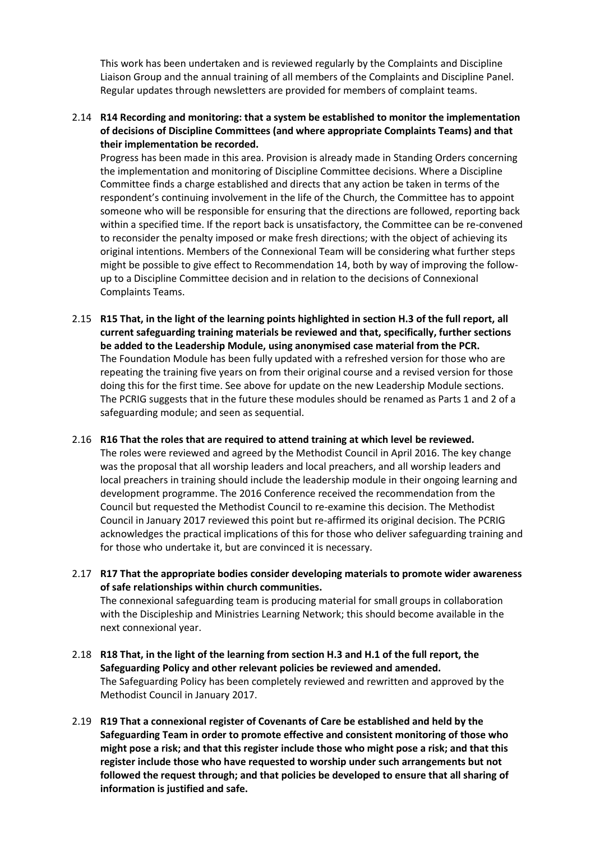This work has been undertaken and is reviewed regularly by the Complaints and Discipline Liaison Group and the annual training of all members of the Complaints and Discipline Panel. Regular updates through newsletters are provided for members of complaint teams.

2.14 **R14 Recording and monitoring: that a system be established to monitor the implementation of decisions of Discipline Committees (and where appropriate Complaints Teams) and that their implementation be recorded.**

Progress has been made in this area. Provision is already made in Standing Orders concerning the implementation and monitoring of Discipline Committee decisions. Where a Discipline Committee finds a charge established and directs that any action be taken in terms of the respondent's continuing involvement in the life of the Church, the Committee has to appoint someone who will be responsible for ensuring that the directions are followed, reporting back within a specified time. If the report back is unsatisfactory, the Committee can be re-convened to reconsider the penalty imposed or make fresh directions; with the object of achieving its original intentions. Members of the Connexional Team will be considering what further steps might be possible to give effect to Recommendation 14, both by way of improving the followup to a Discipline Committee decision and in relation to the decisions of Connexional Complaints Teams.

- 2.15 **R15 That, in the light of the learning points highlighted in section H.3 of the full report, all current safeguarding training materials be reviewed and that, specifically, further sections be added to the Leadership Module, using anonymised case material from the PCR.** The Foundation Module has been fully updated with a refreshed version for those who are repeating the training five years on from their original course and a revised version for those doing this for the first time. See above for update on the new Leadership Module sections. The PCRIG suggests that in the future these modules should be renamed as Parts 1 and 2 of a safeguarding module; and seen as sequential.
- 2.16 **R16 That the roles that are required to attend training at which level be reviewed.**  The roles were reviewed and agreed by the Methodist Council in April 2016. The key change was the proposal that all worship leaders and local preachers, and all worship leaders and local preachers in training should include the leadership module in their ongoing learning and development programme. The 2016 Conference received the recommendation from the Council but requested the Methodist Council to re-examine this decision. The Methodist Council in January 2017 reviewed this point but re-affirmed its original decision. The PCRIG acknowledges the practical implications of this for those who deliver safeguarding training and for those who undertake it, but are convinced it is necessary.
- 2.17 **R17 That the appropriate bodies consider developing materials to promote wider awareness of safe relationships within church communities.**

The connexional safeguarding team is producing material for small groups in collaboration with the Discipleship and Ministries Learning Network; this should become available in the next connexional year.

- 2.18 **R18 That, in the light of the learning from section H.3 and H.1 of the full report, the Safeguarding Policy and other relevant policies be reviewed and amended.** The Safeguarding Policy has been completely reviewed and rewritten and approved by the Methodist Council in January 2017.
- 2.19 **R19 That a connexional register of Covenants of Care be established and held by the Safeguarding Team in order to promote effective and consistent monitoring of those who might pose a risk; and that this register include those who might pose a risk; and that this register include those who have requested to worship under such arrangements but not followed the request through; and that policies be developed to ensure that all sharing of information is justified and safe.**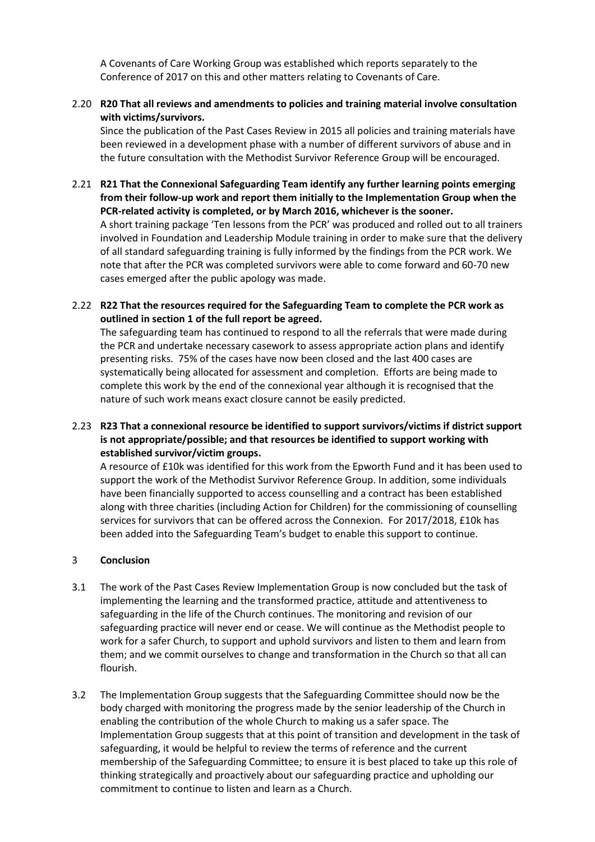A Covenants of Care Working Group was established which reports separately to the Conference of 2017 on this and other matters relating to Covenants of Care.

2.20 **R20 That all reviews and amendments to policies and training material involve consultation with victims/survivors.**

Since the publication of the Past Cases Review in 2015 all policies and training materials have been reviewed in a development phase with a number of different survivors of abuse and in the future consultation with the Methodist Survivor Reference Group will be encouraged.

2.21 **R21 That the Connexional Safeguarding Team identify any further learning points emerging from their follow-up work and report them initially to the Implementation Group when the PCR-related activity is completed, or by March 2016, whichever is the sooner.** A short training package 'Ten lessons from the PCR' was produced and rolled out to all trainers involved in Foundation and Leadership Module training in order to make sure that the delivery of all standard safeguarding training is fully informed by the findings from the PCR work. We note that after the PCR was completed survivors were able to come forward and 60-70 new cases emerged after the public apology was made.

2.22 **R22 That the resources required for the Safeguarding Team to complete the PCR work as outlined in section 1 of the full report be agreed.**

The safeguarding team has continued to respond to all the referrals that were made during the PCR and undertake necessary casework to assess appropriate action plans and identify presenting risks. 75% of the cases have now been closed and the last 400 cases are systematically being allocated for assessment and completion. Efforts are being made to complete this work by the end of the connexional year although it is recognised that the nature of such work means exact closure cannot be easily predicted.

2.23 **R23 That a connexional resource be identified to support survivors/victims if district support is not appropriate/possible; and that resources be identified to support working with established survivor/victim groups.**

A resource of £10k was identified for this work from the Epworth Fund and it has been used to support the work of the Methodist Survivor Reference Group. In addition, some individuals have been financially supported to access counselling and a contract has been established along with three charities (including Action for Children) for the commissioning of counselling services for survivors that can be offered across the Connexion. For 2017/2018, £10k has been added into the Safeguarding Team's budget to enable this support to continue.

#### 3 **Conclusion**

- 3.1 The work of the Past Cases Review Implementation Group is now concluded but the task of implementing the learning and the transformed practice, attitude and attentiveness to safeguarding in the life of the Church continues. The monitoring and revision of our safeguarding practice will never end or cease. We will continue as the Methodist people to work for a safer Church, to support and uphold survivors and listen to them and learn from them; and we commit ourselves to change and transformation in the Church so that all can flourish.
- 3.2 The Implementation Group suggests that the Safeguarding Committee should now be the body charged with monitoring the progress made by the senior leadership of the Church in enabling the contribution of the whole Church to making us a safer space. The Implementation Group suggests that at this point of transition and development in the task of safeguarding, it would be helpful to review the terms of reference and the current membership of the Safeguarding Committee; to ensure it is best placed to take up this role of thinking strategically and proactively about our safeguarding practice and upholding our commitment to continue to listen and learn as a Church.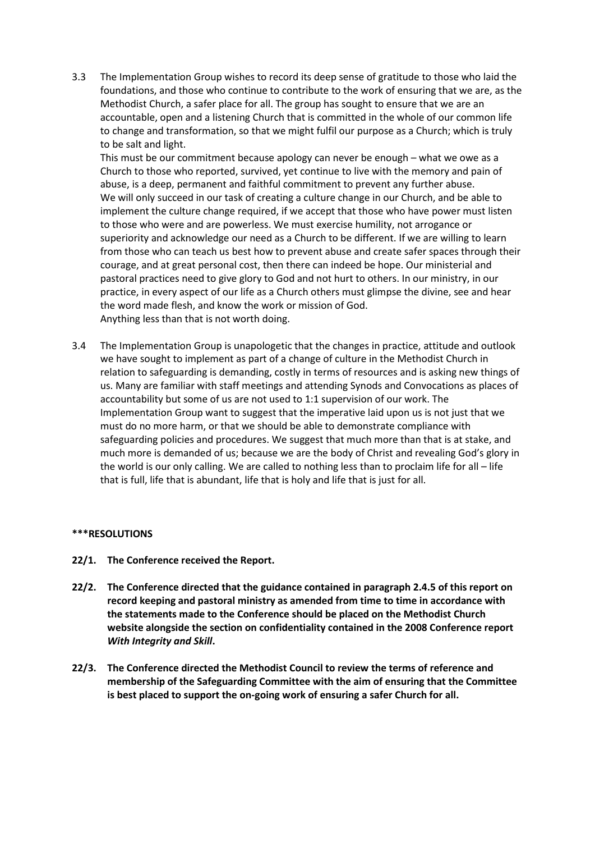3.3 The Implementation Group wishes to record its deep sense of gratitude to those who laid the foundations, and those who continue to contribute to the work of ensuring that we are, as the Methodist Church, a safer place for all. The group has sought to ensure that we are an accountable, open and a listening Church that is committed in the whole of our common life to change and transformation, so that we might fulfil our purpose as a Church; which is truly to be salt and light.

This must be our commitment because apology can never be enough – what we owe as a Church to those who reported, survived, yet continue to live with the memory and pain of abuse, is a deep, permanent and faithful commitment to prevent any further abuse. We will only succeed in our task of creating a culture change in our Church, and be able to implement the culture change required, if we accept that those who have power must listen to those who were and are powerless. We must exercise humility, not arrogance or superiority and acknowledge our need as a Church to be different. If we are willing to learn from those who can teach us best how to prevent abuse and create safer spaces through their courage, and at great personal cost, then there can indeed be hope. Our ministerial and pastoral practices need to give glory to God and not hurt to others. In our ministry, in our practice, in every aspect of our life as a Church others must glimpse the divine, see and hear the word made flesh, and know the work or mission of God. Anything less than that is not worth doing.

3.4 The Implementation Group is unapologetic that the changes in practice, attitude and outlook we have sought to implement as part of a change of culture in the Methodist Church in relation to safeguarding is demanding, costly in terms of resources and is asking new things of us. Many are familiar with staff meetings and attending Synods and Convocations as places of accountability but some of us are not used to 1:1 supervision of our work. The Implementation Group want to suggest that the imperative laid upon us is not just that we must do no more harm, or that we should be able to demonstrate compliance with safeguarding policies and procedures. We suggest that much more than that is at stake, and much more is demanded of us; because we are the body of Christ and revealing God's glory in the world is our only calling. We are called to nothing less than to proclaim life for all – life that is full, life that is abundant, life that is holy and life that is just for all.

#### **\*\*\*RESOLUTIONS**

- **22/1. The Conference received the Report.**
- **22/2. The Conference directed that the guidance contained in paragraph 2.4.5 of this report on record keeping and pastoral ministry as amended from time to time in accordance with the statements made to the Conference should be placed on the Methodist Church website alongside the section on confidentiality contained in the 2008 Conference report**  *With Integrity and Skill***.**
- **22/3. The Conference directed the Methodist Council to review the terms of reference and membership of the Safeguarding Committee with the aim of ensuring that the Committee is best placed to support the on-going work of ensuring a safer Church for all.**